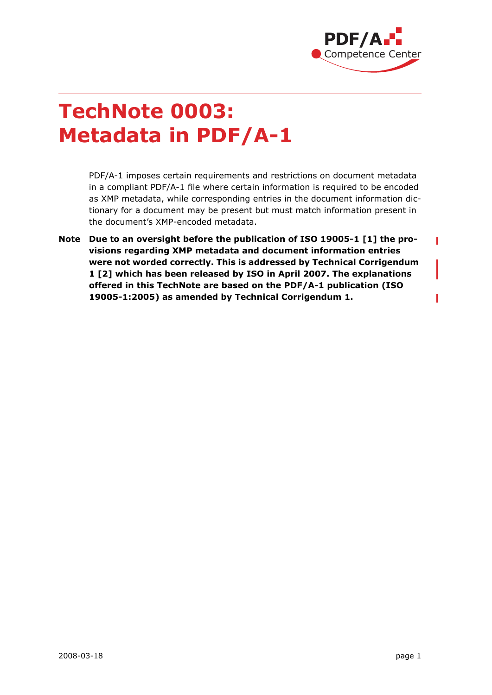

Ī

Ī

# **TechNote 0003: Metadata in PDF/A-1**

PDF/A-1 imposes certain requirements and restrictions on document metadata in a compliant PDF/A-1 file where certain information is required to be encoded as XMP metadata, while corresponding entries in the document information dictionary for a document may be present but must match information present in the document's XMP-encoded metadata.

**Note Due to an oversight before the publication of ISO 19005-1 [\[1\]](#page-7-1) the provisions regarding XMP metadata and document information entries were not worded correctly. This is addressed by Technical Corrigendum 1 [\[2\]](#page-7-0) which has been released by ISO in April 2007. The explanations offered in this TechNote are based on the PDF/A-1 publication (ISO 19005-1:2005) as amended by Technical Corrigendum 1.**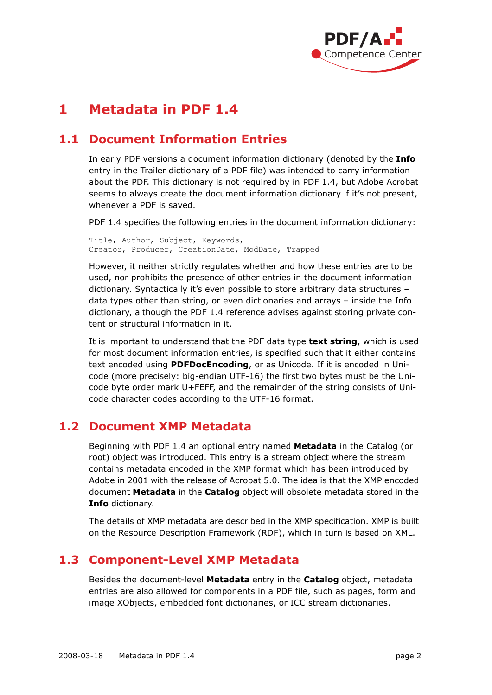

# **1 Metadata in PDF 1.4**

# **1.1 Document Information Entries**

In early PDF versions a document information dictionary (denoted by the **Info** entry in the Trailer dictionary of a PDF file) was intended to carry information about the PDF. This dictionary is not required by in PDF 1.4, but Adobe Acrobat seems to always create the document information dictionary if it's not present, whenever a PDF is saved.

PDF 1.4 specifies the following entries in the document information dictionary:

Title, Author, Subject, Keywords, Creator, Producer, CreationDate, ModDate, Trapped

However, it neither strictly regulates whether and how these entries are to be used, nor prohibits the presence of other entries in the document information dictionary. Syntactically it's even possible to store arbitrary data structures – data types other than string, or even dictionaries and arrays – inside the Info dictionary, although the PDF 1.4 reference advises against storing private content or structural information in it.

It is important to understand that the PDF data type **text string**, which is used for most document information entries, is specified such that it either contains text encoded using **PDFDocEncoding**, or as Unicode. If it is encoded in Unicode (more precisely: big-endian UTF-16) the first two bytes must be the Unicode byte order mark U+FEFF, and the remainder of the string consists of Unicode character codes according to the UTF-16 format.

### **1.2 Document XMP Metadata**

Beginning with PDF 1.4 an optional entry named **Metadata** in the Catalog (or root) object was introduced. This entry is a stream object where the stream contains metadata encoded in the XMP format which has been introduced by Adobe in 2001 with the release of Acrobat 5.0. The idea is that the XMP encoded document **Metadata** in the **Catalog** object will obsolete metadata stored in the **Info** dictionary.

The details of XMP metadata are described in the XMP specification. XMP is built on the Resource Description Framework (RDF), which in turn is based on XML.

### **1.3 Component-Level XMP Metadata**

Besides the document-level **Metadata** entry in the **Catalog** object, metadata entries are also allowed for components in a PDF file, such as pages, form and image XObjects, embedded font dictionaries, or ICC stream dictionaries.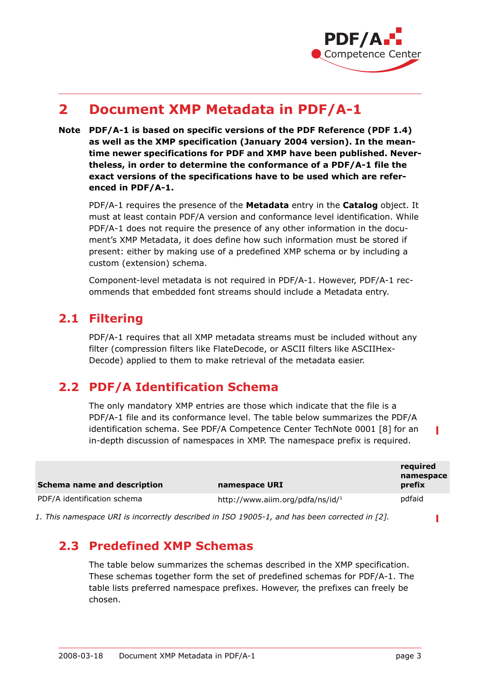

# **2 Document XMP Metadata in PDF/A-1**

**Note PDF/A-1 is based on specific versions of the PDF Reference (PDF 1.4) as well as the XMP specification (January 2004 version). In the meantime newer specifications for PDF and XMP have been published. Nevertheless, in order to determine the conformance of a PDF/A-1 file the exact versions of the specifications have to be used which are referenced in PDF/A-1.**

PDF/A-1 requires the presence of the **Metadata** entry in the **Catalog** object. It must at least contain PDF/A version and conformance level identification. While PDF/A-1 does not require the presence of any other information in the document's XMP Metadata, it does define how such information must be stored if present: either by making use of a predefined XMP schema or by including a custom (extension) schema.

Component-level metadata is not required in PDF/A-1. However, PDF/A-1 recommends that embedded font streams should include a Metadata entry.

### **2.1 Filtering**

PDF/A-1 requires that all XMP metadata streams must be included without any filter (compression filters like FlateDecode, or ASCII filters like ASCIIHex-Decode) applied to them to make retrieval of the metadata easier.

# **2.2 PDF/A Identification Schema**

The only mandatory XMP entries are those which indicate that the file is a PDF/A-1 file and its conformance level. The table below summarizes the PDF/A identification schema. See PDF/A Competence Center TechNote 0001 [\[8\]](#page-7-2) for an in-depth discussion of namespaces in XMP. The namespace prefix is required.

| Schema name and description                                                                  | namespace URI                                | reguired<br>namespace<br>prefix |  |
|----------------------------------------------------------------------------------------------|----------------------------------------------|---------------------------------|--|
| PDF/A identification schema                                                                  | http://www.aiim.org/pdfa/ns/id/ <sup>1</sup> | pdfaid                          |  |
| 1 This names nase UPT is incorrectly described in ISO 19005-1, and has been corrected in [2] |                                              |                                 |  |

*1. This namespace URI is incorrectly described in ISO 19005-1, and has been corrected in [\[2\]](#page-7-0).*

# **2.3 Predefined XMP Schemas**

The table below summarizes the schemas described in the XMP specification. These schemas together form the set of predefined schemas for PDF/A-1. The table lists preferred namespace prefixes. However, the prefixes can freely be chosen.

П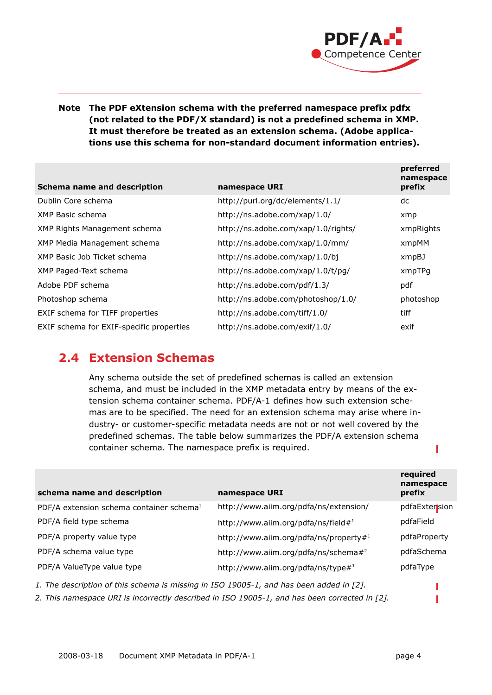

#### **Note The PDF eXtension schema with the preferred namespace prefix pdfx (not related to the PDF/X standard) is not a predefined schema in XMP. It must therefore be treated as an extension schema. (Adobe applications use this schema for non-standard document information entries).**

| Schema name and description              | namespace URI                       | preferred<br>namespace<br>prefix |
|------------------------------------------|-------------------------------------|----------------------------------|
| Dublin Core schema                       | http://purl.org/dc/elements/1.1/    | dc                               |
| XMP Basic schema                         | http://ns.adobe.com/xap/1.0/        | xmp                              |
| XMP Rights Management schema             | http://ns.adobe.com/xap/1.0/rights/ | xmpRights                        |
| XMP Media Management schema              | http://ns.adobe.com/xap/1.0/mm/     | xmpMM                            |
| XMP Basic Job Ticket schema              | http://ns.adobe.com/xap/1.0/bj      | xmpBJ                            |
| XMP Paged-Text schema                    | http://ns.adobe.com/xap/1.0/t/pg/   | xmpTPg                           |
| Adobe PDF schema                         | http://ns.adobe.com/pdf/1.3/        | pdf                              |
| Photoshop schema                         | http://ns.adobe.com/photoshop/1.0/  | photoshop                        |
| EXIF schema for TIFF properties          | http://ns.adobe.com/tiff/1.0/       | tiff                             |
| EXIF schema for EXIF-specific properties | http://ns.adobe.com/exif/1.0/       | exif                             |

### **2.4 Extension Schemas**

Any schema outside the set of predefined schemas is called an extension schema, and must be included in the XMP metadata entry by means of the extension schema container schema. PDF/A-1 defines how such extension schemas are to be specified. The need for an extension schema may arise where industry- or customer-specific metadata needs are not or not well covered by the predefined schemas. The table below summarizes the PDF/A extension schema container schema. The namespace prefix is required.

| schema name and description                                                             | namespace URI                                    | required<br>namespace<br>prefix |
|-----------------------------------------------------------------------------------------|--------------------------------------------------|---------------------------------|
| PDF/A extension schema container schema <sup>1</sup>                                    | http://www.aiim.org/pdfa/ns/extension/           | pdfaExtersion                   |
| PDF/A field type schema                                                                 | http://www.aiim.org/pdfa/ns/field#1              | pdfaField                       |
| PDF/A property value type                                                               | http://www.aiim.org/pdfa/ns/property# $1$        | pdfaProperty                    |
| PDF/A schema value type                                                                 | http://www.aiim.org/pdfa/ns/schema# <sup>2</sup> | pdfaSchema                      |
| PDF/A ValueType value type                                                              | http://www.aiim.org/pdfa/ns/type# <sup>1</sup>   | pdfaType                        |
| 1. The description of this schema is missing in ISO 19005-1, and has been added in [2]. |                                                  |                                 |

*2. This namespace URI is incorrectly described in ISO 19005-1, and has been corrected in [\[2\]](#page-7-0).*

П

П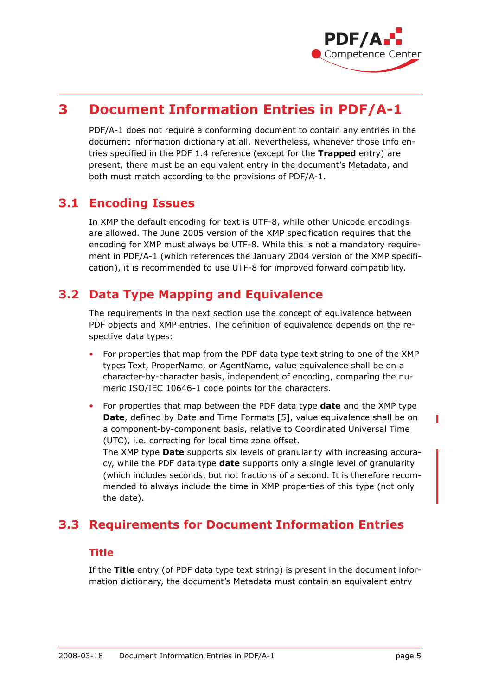

# **3 Document Information Entries in PDF/A-1**

PDF/A-1 does not require a conforming document to contain any entries in the document information dictionary at all. Nevertheless, whenever those Info entries specified in the PDF 1.4 reference (except for the **Trapped** entry) are present, there must be an equivalent entry in the document's Metadata, and both must match according to the provisions of PDF/A-1.

### **3.1 Encoding Issues**

In XMP the default encoding for text is UTF-8, while other Unicode encodings are allowed. The June 2005 version of the XMP specification requires that the encoding for XMP must always be UTF-8. While this is not a mandatory requirement in PDF/A-1 (which references the January 2004 version of the XMP specification), it is recommended to use UTF-8 for improved forward compatibility.

### **3.2 Data Type Mapping and Equivalence**

The requirements in the next section use the concept of equivalence between PDF objects and XMP entries. The definition of equivalence depends on the respective data types:

- For properties that map from the PDF data type text string to one of the XMP types Text, ProperName, or AgentName, value equivalence shall be on a character-by-character basis, independent of encoding, comparing the numeric ISO/IEC 10646-1 code points for the characters.
- For properties that map between the PDF data type **date** and the XMP type **Date**, defined by Date and Time Formats [\[5\]](#page-7-3), value equivalence shall be on a component-by-component basis, relative to Coordinated Universal Time (UTC), i.e. correcting for local time zone offset.

The XMP type **Date** supports six levels of granularity with increasing accuracy, while the PDF data type **date** supports only a single level of granularity (which includes seconds, but not fractions of a second. It is therefore recommended to always include the time in XMP properties of this type (not only the date).

# **3.3 Requirements for Document Information Entries**

#### **Title**

If the **Title** entry (of PDF data type text string) is present in the document information dictionary, the document's Metadata must contain an equivalent entry

L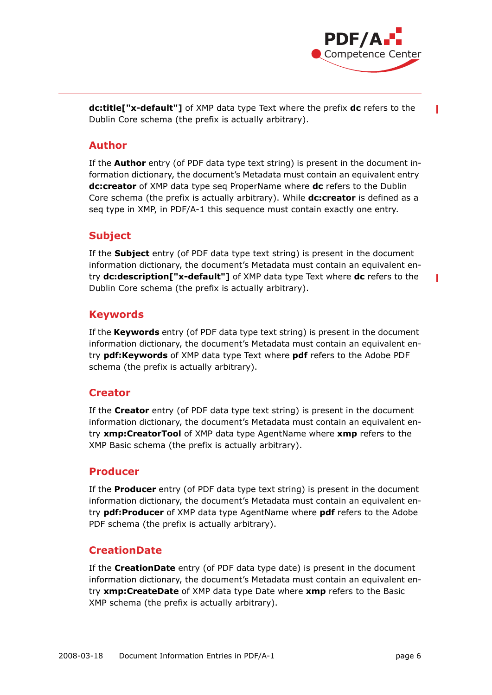

**dc:title["x-default"]** of XMP data type Text where the prefix **dc** refers to the Dublin Core schema (the prefix is actually arbitrary).

#### **Author**

If the **Author** entry (of PDF data type text string) is present in the document information dictionary, the document's Metadata must contain an equivalent entry **dc:creator** of XMP data type seq ProperName where **dc** refers to the Dublin Core schema (the prefix is actually arbitrary). While **dc:creator** is defined as a seq type in XMP, in PDF/A-1 this sequence must contain exactly one entry.

#### **Subject**

If the **Subject** entry (of PDF data type text string) is present in the document information dictionary, the document's Metadata must contain an equivalent entry **dc:description["x-default"]** of XMP data type Text where **dc** refers to the Dublin Core schema (the prefix is actually arbitrary).

#### **Keywords**

If the **Keywords** entry (of PDF data type text string) is present in the document information dictionary, the document's Metadata must contain an equivalent entry **pdf:Keywords** of XMP data type Text where **pdf** refers to the Adobe PDF schema (the prefix is actually arbitrary).

#### **Creator**

If the **Creator** entry (of PDF data type text string) is present in the document information dictionary, the document's Metadata must contain an equivalent entry **xmp:CreatorTool** of XMP data type AgentName where **xmp** refers to the XMP Basic schema (the prefix is actually arbitrary).

#### **Producer**

If the **Producer** entry (of PDF data type text string) is present in the document information dictionary, the document's Metadata must contain an equivalent entry **pdf:Producer** of XMP data type AgentName where **pdf** refers to the Adobe PDF schema (the prefix is actually arbitrary).

#### **CreationDate**

If the **CreationDate** entry (of PDF data type date) is present in the document information dictionary, the document's Metadata must contain an equivalent entry **xmp:CreateDate** of XMP data type Date where **xmp** refers to the Basic XMP schema (the prefix is actually arbitrary).

Г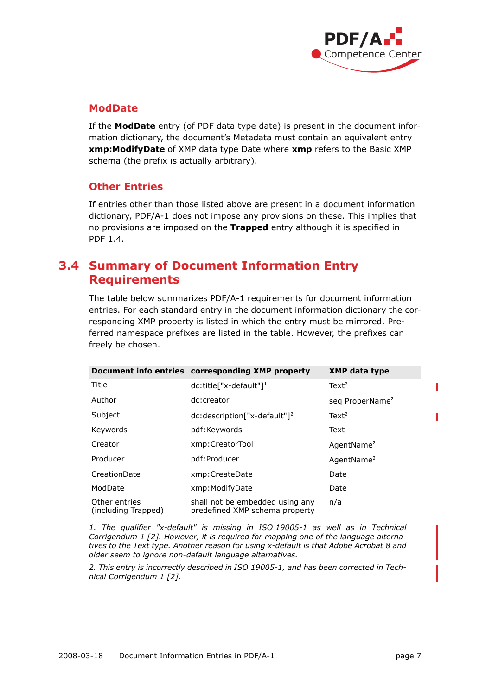

#### **ModDate**

If the **ModDate** entry (of PDF data type date) is present in the document information dictionary, the document's Metadata must contain an equivalent entry **xmp:ModifyDate** of XMP data type Date where **xmp** refers to the Basic XMP schema (the prefix is actually arbitrary).

#### **Other Entries**

If entries other than those listed above are present in a document information dictionary, PDF/A-1 does not impose any provisions on these. This implies that no provisions are imposed on the **Trapped** entry although it is specified in PDF 1.4.

### **3.4 Summary of Document Information Entry Requirements**

The table below summarizes PDF/A-1 requirements for document information entries. For each standard entry in the document information dictionary the corresponding XMP property is listed in which the entry must be mirrored. Preferred namespace prefixes are listed in the table. However, the prefixes can freely be chosen.

|                                      | Document info entries corresponding XMP property                  | <b>XMP data type</b>        |
|--------------------------------------|-------------------------------------------------------------------|-----------------------------|
| Title                                | $dc: title['x-default"]^1$                                        | Text <sup>2</sup>           |
| Author                               | dc:creator                                                        | seg ProperName <sup>2</sup> |
| Subject                              | $dc: description['x-default"]^2$                                  | Text <sup>2</sup>           |
| Keywords                             | pdf:Keywords                                                      | Text                        |
| Creator                              | xmp:CreatorTool                                                   | AgentName <sup>2</sup>      |
| Producer                             | pdf:Producer                                                      | AgentName <sup>2</sup>      |
| CreationDate                         | xmp:CreateDate                                                    | Date                        |
| ModDate                              | xmp: ModifyDate                                                   | Date                        |
| Other entries<br>(including Trapped) | shall not be embedded using any<br>predefined XMP schema property | n/a                         |

*1. The qualifier "x-default" is missing in ISO 19005-1 as well as in Technical Corrigendum 1 [\[2\]](#page-7-0). However, it is required for mapping one of the language alternatives to the Text type. Another reason for using x-default is that Adobe Acrobat 8 and older seem to ignore non-default language alternatives.*

*2. This entry is incorrectly described in ISO 19005-1, and has been corrected in Technical Corrigendum 1 [\[2\]](#page-7-0).*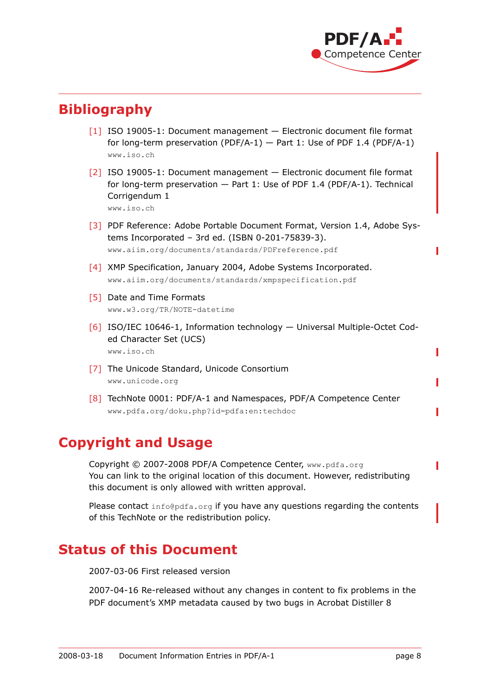

# **Bibliography**

- <span id="page-7-1"></span> $[1]$  ISO 19005-1: Document management  $-$  Electronic document file format for long-term preservation (PDF/A-1)  $-$  Part 1: Use of PDF 1.4 (PDF/A-1) [www.iso.ch](http://www.iso.ch)
- <span id="page-7-0"></span>[2] ISO 19005-1: Document management — Electronic document file format for long-term preservation — Part 1: Use of PDF 1.4 (PDF/A-1). Technical Corrigendum 1 [www.iso.ch](http://www.iso.ch)

[3] PDF Reference: Adobe Portable Document Format, Version 1.4, Adobe Systems Incorporated – 3rd ed. (ISBN 0-201-75839-3). [www.aiim.org/documents/standards/PDFreference.pdf](http://www.aiim.org/documents/standards/PDFreference.pdf)

- [4] XMP Specification, January 2004, Adobe Systems Incorporated. [www.aiim.org/documents/standards/xmpspecification.pdf](http://www.aiim.org/documents/standards/xmpspecification.pdf)
- <span id="page-7-3"></span>[5] Date and Time Formats [www.w3.org/TR/NOTE-datetime](http://www.w3.org/TR/NOTE-datetime)
- [6] ISO/IEC 10646-1, Information technology Universal Multiple-Octet Coded Character Set (UCS) [www.iso.ch](http://www.iso.ch)
- [7] The Unicode Standard, Unicode Consortium [www.unicode.org](http://www.unicode.org)
- <span id="page-7-2"></span>[8] TechNote 0001: PDF/A-1 and Namespaces, PDF/A Competence Center [www.pdfa.org/doku.php?id=pdfa:en:techdoc](http://www.pdfa.org/doku.php?id=pdfa:en:techdoc)

# **Copyright and Usage**

Copyright © 2007-2008 PDF/A Competence Center, www.pdfa.org You can link to the original location of this document. However, redistributing this document is only allowed with written approval.

Please contact [info@pdfa.org](mailto:info@pdfa.org) if you have any questions regarding the contents of this TechNote or the redistribution policy.

# **Status of this Document**

2007-03-06 First released version

2007-04-16 Re-released without any changes in content to fix problems in the PDF document's XMP metadata caused by two bugs in Acrobat Distiller 8

Ī

Ī